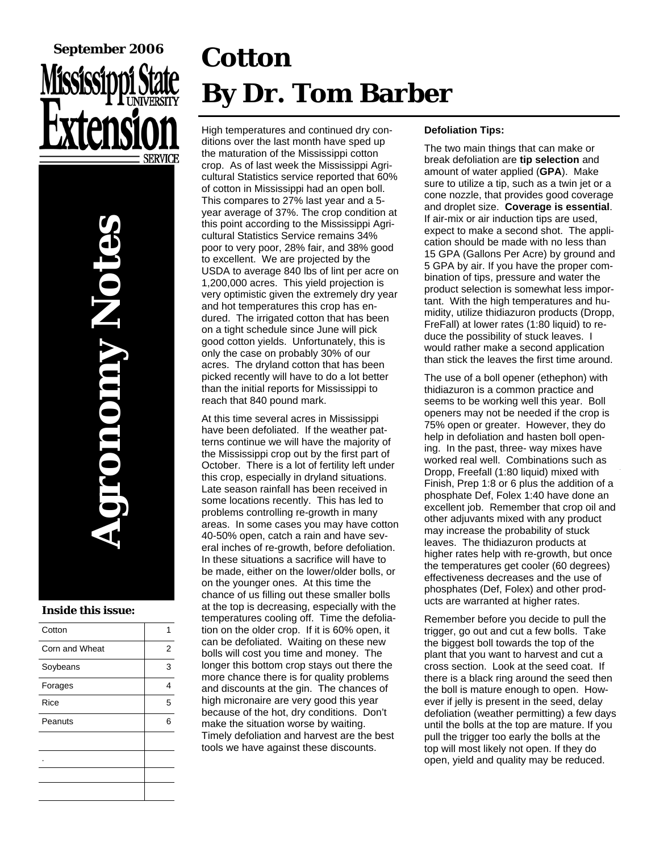# **September 2006**

**Agronomy Notes ANDRO** 

#### **Inside this issue:**

| Cotton         |   |
|----------------|---|
| Corn and Wheat | 2 |
| Soybeans       | 3 |
| Forages        | 4 |
| Rice           | 5 |
| Peanuts        | 6 |
|                |   |
|                |   |
|                |   |
|                |   |

## **Cotton By Dr. Tom Barber**

High temperatures and continued dry conditions over the last month have sped up the maturation of the Mississippi cotton crop. As of last week the Mississippi Agricultural Statistics service reported that 60% of cotton in Mississippi had an open boll. This compares to 27% last year and a 5 year average of 37%. The crop condition at this point according to the Mississippi Agricultural Statistics Service remains 34% poor to very poor, 28% fair, and 38% good to excellent. We are projected by the USDA to average 840 lbs of lint per acre on 1,200,000 acres. This yield projection is very optimistic given the extremely dry year and hot temperatures this crop has endured. The irrigated cotton that has been on a tight schedule since June will pick good cotton yields. Unfortunately, this is only the case on probably 30% of our acres. The dryland cotton that has been picked recently will have to do a lot better than the initial reports for Mississippi to reach that 840 pound mark.

At this time several acres in Mississippi have been defoliated. If the weather patterns continue we will have the majority of the Mississippi crop out by the first part of October. There is a lot of fertility left under this crop, especially in dryland situations. Late season rainfall has been received in some locations recently. This has led to problems controlling re-growth in many areas. In some cases you may have cotton 40-50% open, catch a rain and have several inches of re-growth, before defoliation. In these situations a sacrifice will have to be made, either on the lower/older bolls, or on the younger ones. At this time the chance of us filling out these smaller bolls at the top is decreasing, especially with the temperatures cooling off. Time the defoliation on the older crop. If it is 60% open, it can be defoliated. Waiting on these new bolls will cost you time and money. The longer this bottom crop stays out there the more chance there is for quality problems and discounts at the gin. The chances of high micronaire are very good this year because of the hot, dry conditions. Don't make the situation worse by waiting. Timely defoliation and harvest are the best tools we have against these discounts.

#### **Defoliation Tips:**

The two main things that can make or break defoliation are **tip selection** and amount of water applied (**GPA**). Make sure to utilize a tip, such as a twin jet or a cone nozzle, that provides good coverage and droplet size. **Coverage is essential**. If air-mix or air induction tips are used, expect to make a second shot. The application should be made with no less than 15 GPA (Gallons Per Acre) by ground and 5 GPA by air. If you have the proper combination of tips, pressure and water the product selection is somewhat less important. With the high temperatures and humidity, utilize thidiazuron products (Dropp, FreFall) at lower rates (1:80 liquid) to reduce the possibility of stuck leaves. I would rather make a second application than stick the leaves the first time around.

The use of a boll opener (ethephon) with thidiazuron is a common practice and seems to be working well this year. Boll openers may not be needed if the crop is 75% open or greater. However, they do help in defoliation and hasten boll opening. In the past, three- way mixes have worked real well. Combinations such as Dropp, Freefall (1:80 liquid) mixed with Finish, Prep 1:8 or 6 plus the addition of a phosphate Def, Folex 1:40 have done an excellent job. Remember that crop oil and other adjuvants mixed with any product may increase the probability of stuck leaves. The thidiazuron products at higher rates help with re-growth, but once the temperatures get cooler (60 degrees) effectiveness decreases and the use of phosphates (Def, Folex) and other products are warranted at higher rates.

Remember before you decide to pull the trigger, go out and cut a few bolls. Take the biggest boll towards the top of the plant that you want to harvest and cut a cross section. Look at the seed coat. If there is a black ring around the seed then the boll is mature enough to open. However if jelly is present in the seed, delay defoliation (weather permitting) a few days until the bolls at the top are mature. If you pull the trigger too early the bolls at the top will most likely not open. If they do open, yield and quality may be reduced.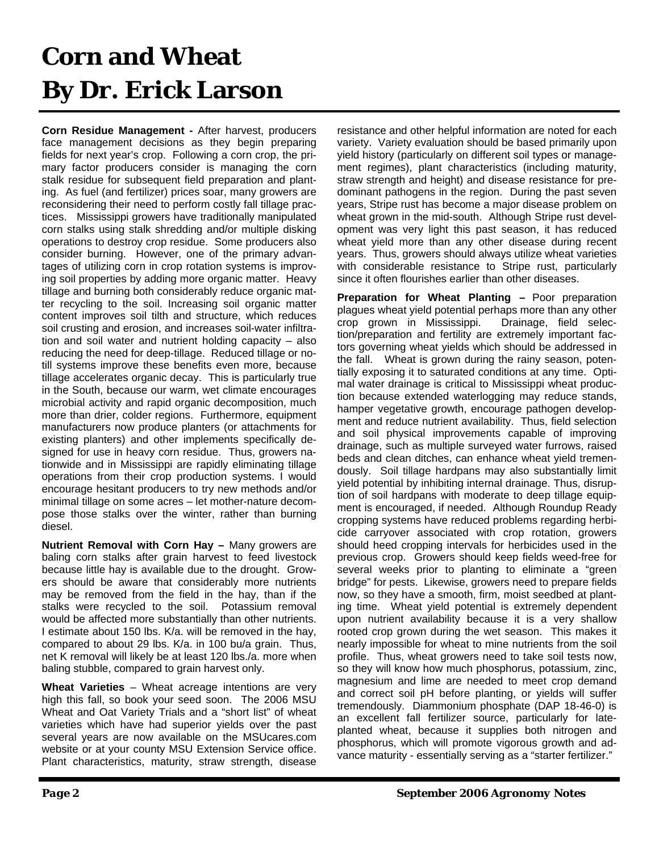## **Corn and Wheat By Dr. Erick Larson**

**Corn Residue Management -** After harvest, producers face management decisions as they begin preparing fields for next year's crop. Following a corn crop, the primary factor producers consider is managing the corn stalk residue for subsequent field preparation and planting. As fuel (and fertilizer) prices soar, many growers are reconsidering their need to perform costly fall tillage practices. Mississippi growers have traditionally manipulated corn stalks using stalk shredding and/or multiple disking operations to destroy crop residue. Some producers also consider burning. However, one of the primary advantages of utilizing corn in crop rotation systems is improving soil properties by adding more organic matter. Heavy tillage and burning both considerably reduce organic matter recycling to the soil. Increasing soil organic matter content improves soil tilth and structure, which reduces soil crusting and erosion, and increases soil-water infiltration and soil water and nutrient holding capacity – also reducing the need for deep-tillage. Reduced tillage or notill systems improve these benefits even more, because tillage accelerates organic decay. This is particularly true in the South, because our warm, wet climate encourages microbial activity and rapid organic decomposition, much more than drier, colder regions. Furthermore, equipment manufacturers now produce planters (or attachments for existing planters) and other implements specifically designed for use in heavy corn residue. Thus, growers nationwide and in Mississippi are rapidly eliminating tillage operations from their crop production systems. I would encourage hesitant producers to try new methods and/or minimal tillage on some acres – let mother-nature decompose those stalks over the winter, rather than burning diesel.

**Nutrient Removal with Corn Hay –** Many growers are baling corn stalks after grain harvest to feed livestock because little hay is available due to the drought. Growers should be aware that considerably more nutrients may be removed from the field in the hay, than if the stalks were recycled to the soil. Potassium removal would be affected more substantially than other nutrients. I estimate about 150 lbs. K/a. will be removed in the hay, compared to about 29 lbs. K/a. in 100 bu/a grain. Thus, net K removal will likely be at least 120 lbs./a. more when baling stubble, compared to grain harvest only.

**Wheat Varieties** – Wheat acreage intentions are very high this fall, so book your seed soon. The 2006 MSU Wheat and Oat Variety Trials and a "short list" of wheat varieties which have had superior yields over the past several years are now available on the MSUcares.com website or at your county MSU Extension Service office. Plant characteristics, maturity, straw strength, disease

resistance and other helpful information are noted for each variety. Variety evaluation should be based primarily upon yield history (particularly on different soil types or management regimes), plant characteristics (including maturity, straw strength and height) and disease resistance for predominant pathogens in the region. During the past seven years, Stripe rust has become a major disease problem on wheat grown in the mid-south. Although Stripe rust development was very light this past season, it has reduced wheat yield more than any other disease during recent years. Thus, growers should always utilize wheat varieties with considerable resistance to Stripe rust, particularly since it often flourishes earlier than other diseases.

**Preparation for Wheat Planting –** Poor preparation plagues wheat yield potential perhaps more than any other crop grown in Mississippi. Drainage, field selection/preparation and fertility are extremely important factors governing wheat yields which should be addressed in the fall. Wheat is grown during the rainy season, potentially exposing it to saturated conditions at any time. Optimal water drainage is critical to Mississippi wheat production because extended waterlogging may reduce stands, hamper vegetative growth, encourage pathogen development and reduce nutrient availability. Thus, field selection and soil physical improvements capable of improving drainage, such as multiple surveyed water furrows, raised beds and clean ditches, can enhance wheat yield tremendously. Soil tillage hardpans may also substantially limit yield potential by inhibiting internal drainage. Thus, disruption of soil hardpans with moderate to deep tillage equipment is encouraged, if needed. Although Roundup Ready cropping systems have reduced problems regarding herbicide carryover associated with crop rotation, growers should heed cropping intervals for herbicides used in the previous crop. Growers should keep fields weed-free for several weeks prior to planting to eliminate a "green bridge" for pests. Likewise, growers need to prepare fields now, so they have a smooth, firm, moist seedbed at planting time. Wheat yield potential is extremely dependent upon nutrient availability because it is a very shallow rooted crop grown during the wet season. This makes it nearly impossible for wheat to mine nutrients from the soil profile. Thus, wheat growers need to take soil tests now, so they will know how much phosphorus, potassium, zinc, magnesium and lime are needed to meet crop demand and correct soil pH before planting, or yields will suffer tremendously. Diammonium phosphate (DAP 18-46-0) is an excellent fall fertilizer source, particularly for lateplanted wheat, because it supplies both nitrogen and phosphorus, which will promote vigorous growth and advance maturity - essentially serving as a "starter fertilizer."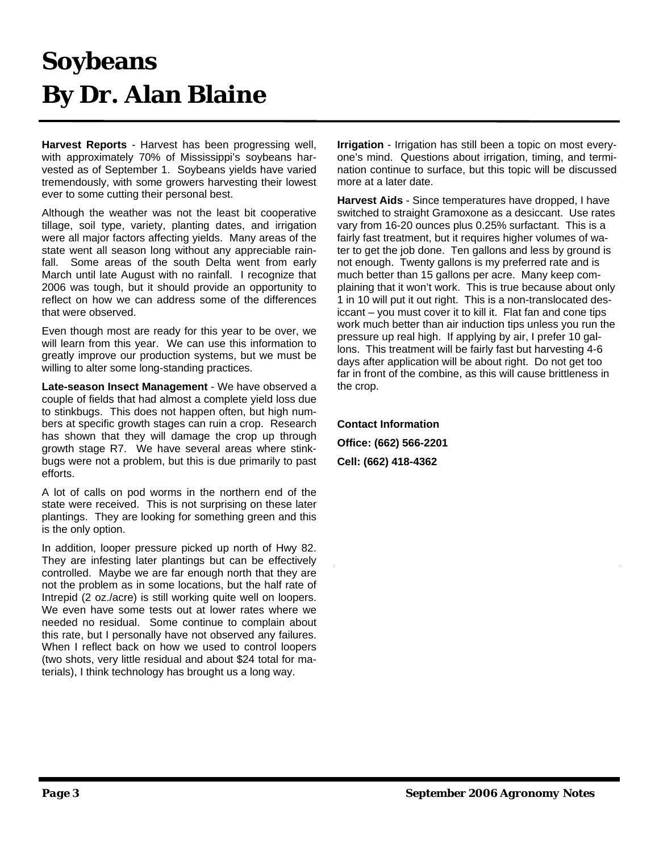#### **Soybeans By Dr. Alan Blaine**

**Harvest Reports** - Harvest has been progressing well, with approximately 70% of Mississippi's soybeans harvested as of September 1. Soybeans yields have varied tremendously, with some growers harvesting their lowest ever to some cutting their personal best.

Although the weather was not the least bit cooperative tillage, soil type, variety, planting dates, and irrigation were all major factors affecting yields. Many areas of the state went all season long without any appreciable rainfall. Some areas of the south Delta went from early March until late August with no rainfall. I recognize that 2006 was tough, but it should provide an opportunity to reflect on how we can address some of the differences that were observed.

Even though most are ready for this year to be over, we will learn from this year. We can use this information to greatly improve our production systems, but we must be willing to alter some long-standing practices.

**Late-season Insect Management** - We have observed a couple of fields that had almost a complete yield loss due to stinkbugs. This does not happen often, but high numbers at specific growth stages can ruin a crop. Research has shown that they will damage the crop up through growth stage R7. We have several areas where stinkbugs were not a problem, but this is due primarily to past efforts.

A lot of calls on pod worms in the northern end of the state were received. This is not surprising on these later plantings. They are looking for something green and this is the only option.

In addition, looper pressure picked up north of Hwy 82. They are infesting later plantings but can be effectively controlled. Maybe we are far enough north that they are not the problem as in some locations, but the half rate of Intrepid (2 oz./acre) is still working quite well on loopers. We even have some tests out at lower rates where we needed no residual. Some continue to complain about this rate, but I personally have not observed any failures. When I reflect back on how we used to control loopers (two shots, very little residual and about \$24 total for materials), I think technology has brought us a long way.

**Irrigation** - Irrigation has still been a topic on most everyone's mind. Questions about irrigation, timing, and termination continue to surface, but this topic will be discussed more at a later date.

**Harvest Aids** - Since temperatures have dropped, I have switched to straight Gramoxone as a desiccant. Use rates vary from 16-20 ounces plus 0.25% surfactant. This is a fairly fast treatment, but it requires higher volumes of water to get the job done. Ten gallons and less by ground is not enough. Twenty gallons is my preferred rate and is much better than 15 gallons per acre. Many keep complaining that it won't work. This is true because about only 1 in 10 will put it out right. This is a non-translocated desiccant – you must cover it to kill it. Flat fan and cone tips work much better than air induction tips unless you run the pressure up real high. If applying by air, I prefer 10 gallons. This treatment will be fairly fast but harvesting 4-6 days after application will be about right. Do not get too far in front of the combine, as this will cause brittleness in the crop.

**Contact Information Office: (662) 566-2201 Cell: (662) 418-4362**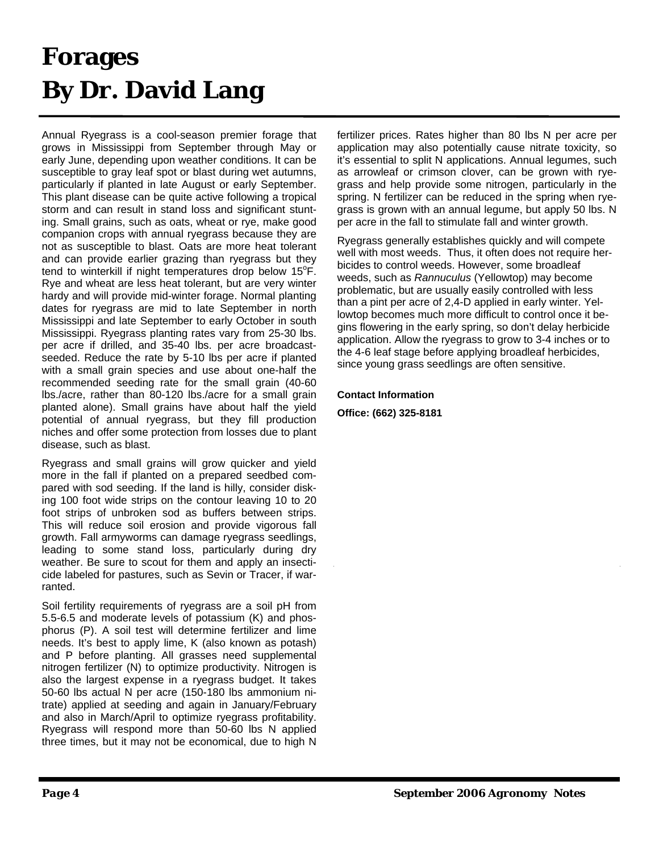## **Forages By Dr. David Lang**

Annual Ryegrass is a cool-season premier forage that grows in Mississippi from September through May or early June, depending upon weather conditions. It can be susceptible to gray leaf spot or blast during wet autumns, particularly if planted in late August or early September. This plant disease can be quite active following a tropical storm and can result in stand loss and significant stunting. Small grains, such as oats, wheat or rye, make good companion crops with annual ryegrass because they are not as susceptible to blast. Oats are more heat tolerant and can provide earlier grazing than ryegrass but they tend to winterkill if night temperatures drop below  $15^\circ$ F. Rye and wheat are less heat tolerant, but are very winter hardy and will provide mid-winter forage. Normal planting dates for ryegrass are mid to late September in north Mississippi and late September to early October in south Mississippi. Ryegrass planting rates vary from 25-30 lbs. per acre if drilled, and 35-40 lbs. per acre broadcastseeded. Reduce the rate by 5-10 lbs per acre if planted with a small grain species and use about one-half the recommended seeding rate for the small grain (40-60 lbs./acre, rather than 80-120 lbs./acre for a small grain planted alone). Small grains have about half the yield potential of annual ryegrass, but they fill production niches and offer some protection from losses due to plant disease, such as blast.

Ryegrass and small grains will grow quicker and yield more in the fall if planted on a prepared seedbed compared with sod seeding. If the land is hilly, consider disking 100 foot wide strips on the contour leaving 10 to 20 foot strips of unbroken sod as buffers between strips. This will reduce soil erosion and provide vigorous fall growth. Fall armyworms can damage ryegrass seedlings, leading to some stand loss, particularly during dry weather. Be sure to scout for them and apply an insecticide labeled for pastures, such as Sevin or Tracer, if warranted.

Soil fertility requirements of ryegrass are a soil pH from 5.5-6.5 and moderate levels of potassium (K) and phosphorus (P). A soil test will determine fertilizer and lime needs. It's best to apply lime, K (also known as potash) and P before planting. All grasses need supplemental nitrogen fertilizer (N) to optimize productivity. Nitrogen is also the largest expense in a ryegrass budget. It takes 50-60 lbs actual N per acre (150-180 lbs ammonium nitrate) applied at seeding and again in January/February and also in March/April to optimize ryegrass profitability. Ryegrass will respond more than 50-60 lbs N applied three times, but it may not be economical, due to high N

fertilizer prices. Rates higher than 80 lbs N per acre per application may also potentially cause nitrate toxicity, so it's essential to split N applications. Annual legumes, such as arrowleaf or crimson clover, can be grown with ryegrass and help provide some nitrogen, particularly in the spring. N fertilizer can be reduced in the spring when ryegrass is grown with an annual legume, but apply 50 lbs. N per acre in the fall to stimulate fall and winter growth.

Ryegrass generally establishes quickly and will compete well with most weeds. Thus, it often does not require herbicides to control weeds. However, some broadleaf weeds, such as *Rannuculus* (Yellowtop) may become problematic, but are usually easily controlled with less than a pint per acre of 2,4-D applied in early winter. Yellowtop becomes much more difficult to control once it begins flowering in the early spring, so don't delay herbicide application. Allow the ryegrass to grow to 3-4 inches or to the 4-6 leaf stage before applying broadleaf herbicides, since young grass seedlings are often sensitive.

#### **Contact Information**

**Office: (662) 325-8181**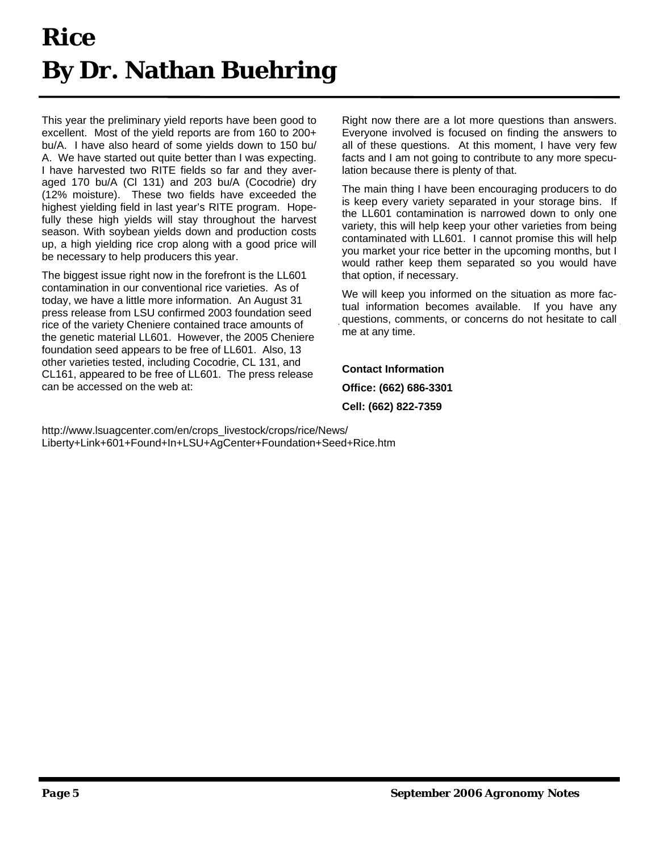## **Rice By Dr. Nathan Buehring**

This year the preliminary yield reports have been good to excellent. Most of the yield reports are from 160 to 200+ bu/A. I have also heard of some yields down to 150 bu/ A. We have started out quite better than I was expecting. I have harvested two RITE fields so far and they averaged 170 bu/A (Cl 131) and 203 bu/A (Cocodrie) dry (12% moisture). These two fields have exceeded the highest yielding field in last year's RITE program. Hopefully these high yields will stay throughout the harvest season. With soybean yields down and production costs up, a high yielding rice crop along with a good price will be necessary to help producers this year.

The biggest issue right now in the forefront is the LL601 contamination in our conventional rice varieties. As of today, we have a little more information. An August 31 press release from LSU confirmed 2003 foundation seed rice of the variety Cheniere contained trace amounts of the genetic material LL601. However, the 2005 Cheniere foundation seed appears to be free of LL601. Also, 13 other varieties tested, including Cocodrie, CL 131, and CL161, appeared to be free of LL601. The press release can be accessed on the web at:

Right now there are a lot more questions than answers. Everyone involved is focused on finding the answers to all of these questions. At this moment, I have very few facts and I am not going to contribute to any more speculation because there is plenty of that.

The main thing I have been encouraging producers to do is keep every variety separated in your storage bins. If the LL601 contamination is narrowed down to only one variety, this will help keep your other varieties from being contaminated with LL601. I cannot promise this will help you market your rice better in the upcoming months, but I would rather keep them separated so you would have that option, if necessary.

We will keep you informed on the situation as more factual information becomes available. If you have any questions, comments, or concerns do not hesitate to call me at any time.

**Contact Information Office: (662) 686-3301 Cell: (662) 822-7359** 

http://www.lsuagcenter.com/en/crops\_livestock/crops/rice/News/ Liberty+Link+601+Found+In+LSU+AgCenter+Foundation+Seed+Rice.htm